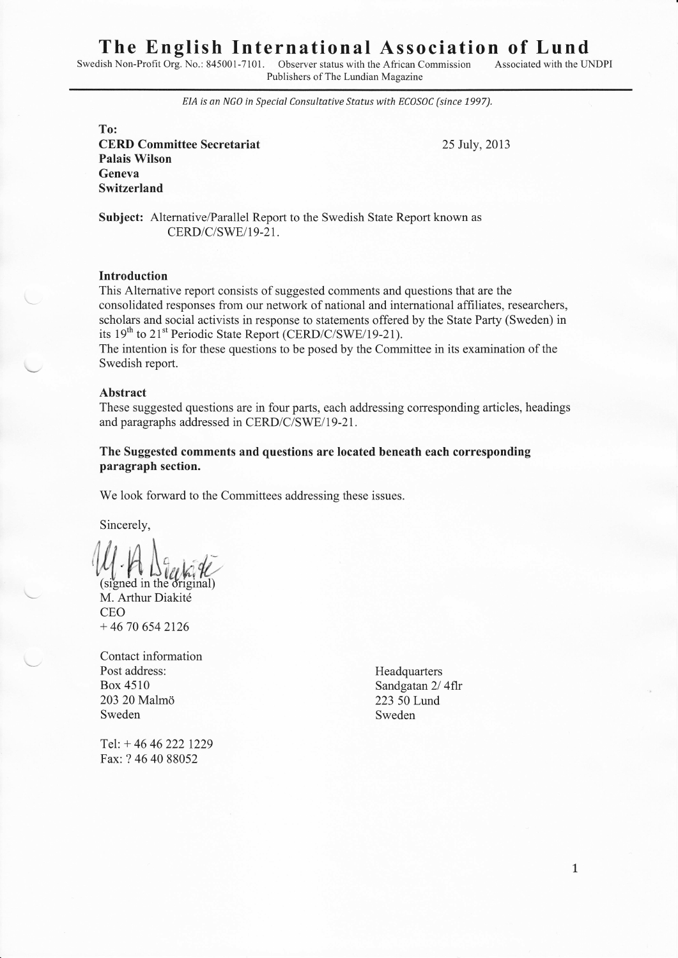# The English International Association of Lund

Swedish Non-Profit Org. No.: 845001-7101. Observer status with the African Commission Publishers of The Lundian Magazine

Associated with the LTNDPI

EIA is an NGO in Special Consultative Status with ECOSOC (since 1997).

To:

CERD Committee Secretariat 25 July,20l3 Palais Wilson Geneva Switzerland

Subject: Alternative/Parallel Report to the Swedish State Report known as CERD/C/SWE/I9-21.

#### Introduction

This Alternative report consists of suggested comments and questions that are the consolidated responses from our network of national and international affiliates, researchers, scholars and social activists in response to statements offered by the State Parfy (Sweden) in its 19<sup>th</sup> to 21<sup>st</sup> Periodic State Report (CERD/C/SWE/19-21).

The intention is for these questions to be posed by the Committee in its examination of the Swedish report.

#### Abstract

These suggested questions are in four parts, each addressing corresponding articles, headings and paragraphs addressed in CERD/C/SWE/19-21.

#### The Suggested comments and questions are located beneath each corresponding paragraph section.

We look forward to the Committees addressing these issues.

Sincerely,

(signed in the original) M. Arthur Diakité CEO  $+ 46 70 654 2126$ 

Contact information Post address:<br>Box 4510 Sandgatan 2/ 203 20 Malmd <sup>223</sup>50 Lund Sweden Sweden Sweden Sweden Sweden Sweden Sweden Sweden Sweden Sweden Sweden Sweden Sweden Sweden Sweden Sweden Sweden Sweden Sweden Sweden Sweden Sweden Sweden Sweden Sweden Sweden Sweden Sweden Sweden Sweden Sweden Swede

Tel: + 46 46 222 1229 Fax: ? 4640 88052

Sandgatan 2/4flr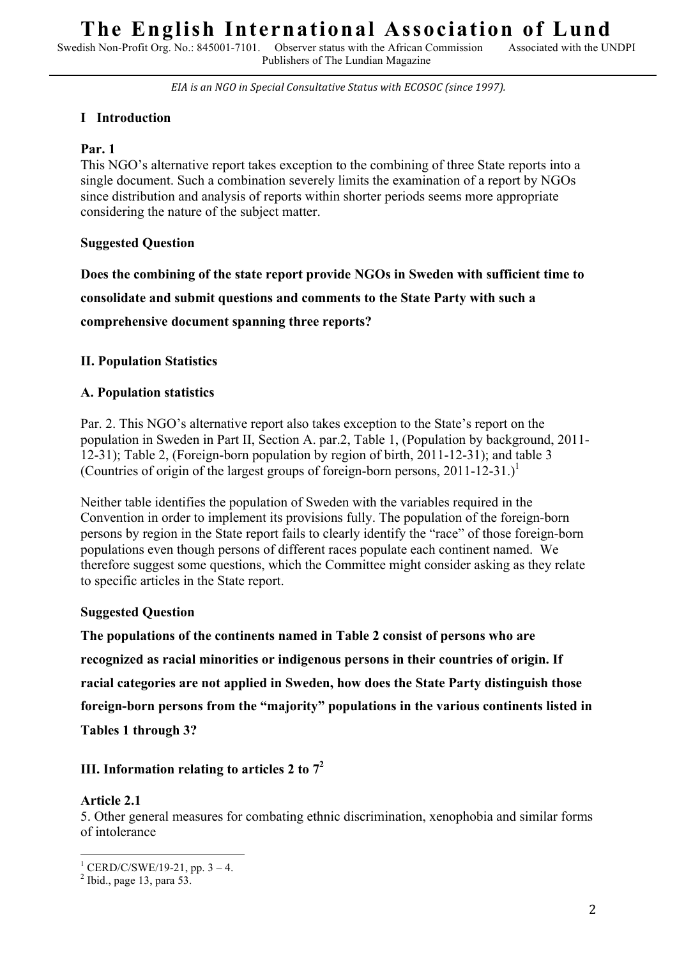Swedish Non-Profit Org. No.: 845001-7101. Observer status with the African Commission Publishers of The Lundian Magazine

EIA is an NGO in Special Consultative Status with ECOSOC (since 1997).

## **I Introduction**

## **Par. 1**

This NGO's alternative report takes exception to the combining of three State reports into a single document. Such a combination severely limits the examination of a report by NGOs since distribution and analysis of reports within shorter periods seems more appropriate considering the nature of the subject matter.

## **Suggested Question**

**Does the combining of the state report provide NGOs in Sweden with sufficient time to consolidate and submit questions and comments to the State Party with such a comprehensive document spanning three reports?** 

## **II. Population Statistics**

## **A. Population statistics**

Par. 2. This NGO's alternative report also takes exception to the State's report on the population in Sweden in Part II, Section A. par.2, Table 1, (Population by background, 2011- 12-31); Table 2, (Foreign-born population by region of birth, 2011-12-31); and table 3 (Countries of origin of the largest groups of foreign-born persons, 2011-12-31.) 1

Neither table identifies the population of Sweden with the variables required in the Convention in order to implement its provisions fully. The population of the foreign-born persons by region in the State report fails to clearly identify the "race" of those foreign-born populations even though persons of different races populate each continent named. We therefore suggest some questions, which the Committee might consider asking as they relate to specific articles in the State report.

## **Suggested Question**

**The populations of the continents named in Table 2 consist of persons who are recognized as racial minorities or indigenous persons in their countries of origin. If racial categories are not applied in Sweden, how does the State Party distinguish those foreign-born persons from the "majority" populations in the various continents listed in Tables 1 through 3?** 

## **III. Information relating to articles 2 to 7<sup>2</sup>**

## **Article 2.1**

5. Other general measures for combating ethnic discrimination, xenophobia and similar forms of intolerance

 $\frac{1}{1}$  CERD/C/SWE/10.21 pp. 2.4  $\frac{1}{2}$  CERD/C/SWE/19-21, pp. 3 – 4.

 $<sup>2</sup>$  Ibid., page 13, para 53.</sup>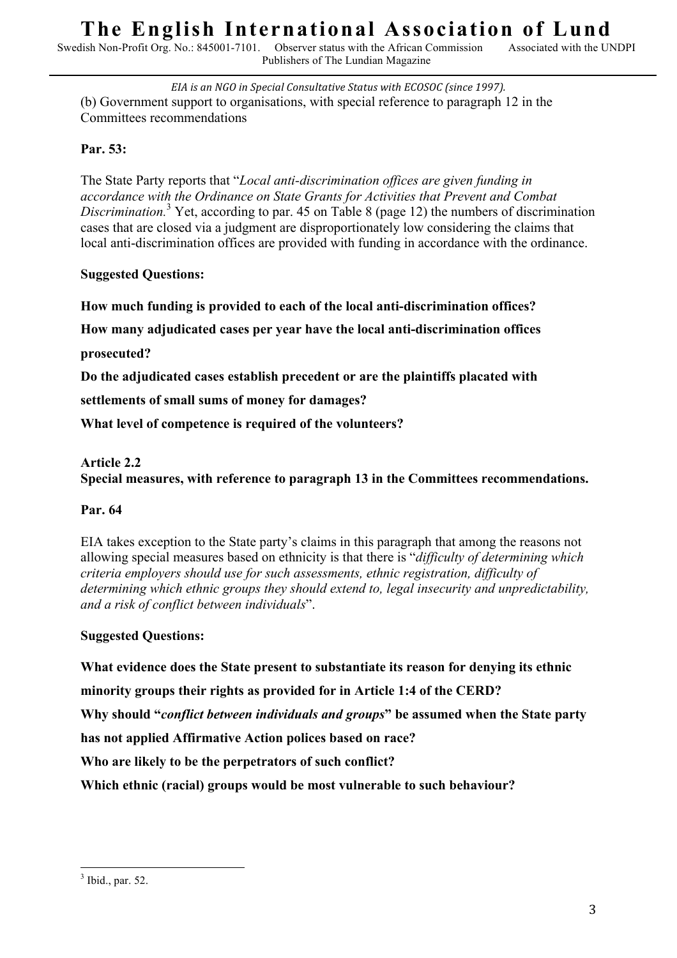Observer status with the African Commission Publishers of The Lundian Magazine

EIA is an NGO in Special Consultative Status with ECOSOC (since 1997). (b) Government support to organisations, with special reference to paragraph 12 in the Committees recommendations

## **Par. 53:**

The State Party reports that "*Local anti-discrimination offices are given funding in accordance with the Ordinance on State Grants for Activities that Prevent and Combat Discrimination.*<sup>3</sup> Yet, according to par. 45 on Table 8 (page 12) the numbers of discrimination cases that are closed via a judgment are disproportionately low considering the claims that local anti-discrimination offices are provided with funding in accordance with the ordinance.

# **Suggested Questions:**

**How much funding is provided to each of the local anti-discrimination offices?** 

**How many adjudicated cases per year have the local anti-discrimination offices** 

**prosecuted?**

**Do the adjudicated cases establish precedent or are the plaintiffs placated with** 

**settlements of small sums of money for damages?** 

**What level of competence is required of the volunteers?**

# **Article 2.2**

**Special measures, with reference to paragraph 13 in the Committees recommendations.**

## **Par. 64**

EIA takes exception to the State party's claims in this paragraph that among the reasons not allowing special measures based on ethnicity is that there is "*difficulty of determining which criteria employers should use for such assessments, ethnic registration, difficulty of determining which ethnic groups they should extend to, legal insecurity and unpredictability, and a risk of conflict between individuals*".

## **Suggested Questions:**

**What evidence does the State present to substantiate its reason for denying its ethnic** 

**minority groups their rights as provided for in Article 1:4 of the CERD?** 

**Why should "***conflict between individuals and groups***" be assumed when the State party** 

**has not applied Affirmative Action polices based on race?** 

**Who are likely to be the perpetrators of such conflict?** 

**Which ethnic (racial) groups would be most vulnerable to such behaviour?**

 <sup>3</sup> Ibid., par. 52.